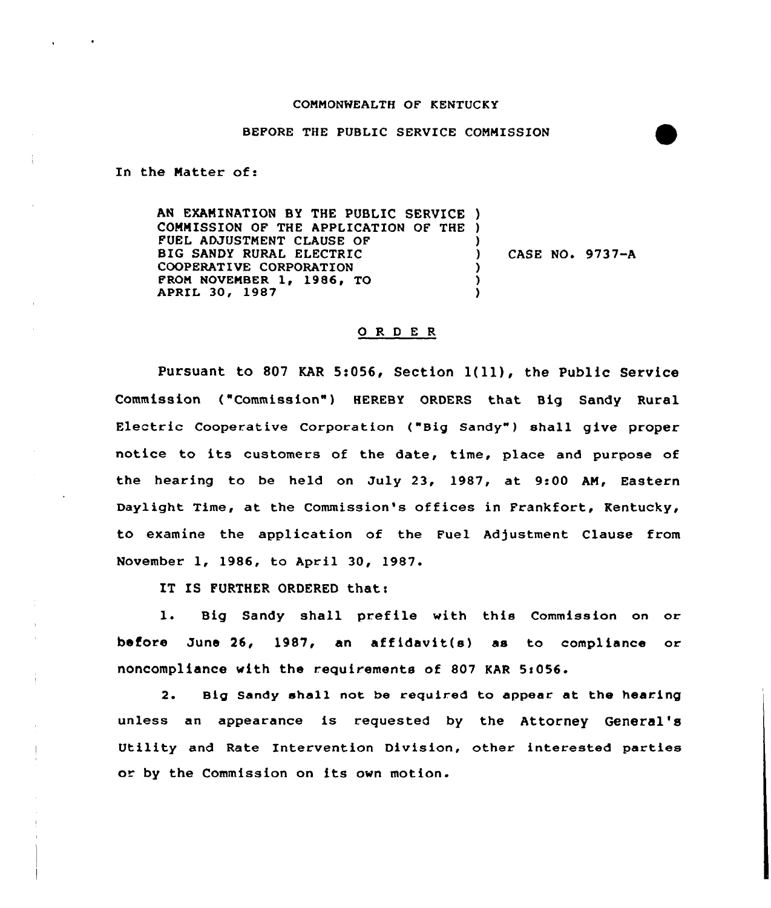## COMMONWEALTH OF KENTUCKY

## BEFORE THE PUBLIC SERVICE COMMISSION

In the Matter of:

AN EXAMINATION BY THE PUBLIC SERVICE ) COMMISSION OF THE APPLICATION OF THE ) FUEL ADJUSTMENT CLAUSE OF BIG SANDY RURAL ELECTRIC COOPERATIVE CORPORATION APRIL 30, 1987 FROM NOVEMBER  $1, 1986, 70$ ) ) CASE NO. 9737-A ) ) )

## 0 R <sup>D</sup> E <sup>R</sup>

Pursuant to <sup>807</sup> KAR 5:056, Section l(ll), the Public Service Commission ("Commission") HEREBY ORDERS that Big Sandy Rural Electric Cooperative Corporation ("Big Sandy" ) shall give proper notice to its customers of the date, time, place and purpose of the hearing to be held on July 23, 1987, at 9:00 AN, Eastern Daylight Time, at the Commission's offices in Frankfort, Kentucky, to examine the application of the Fuel Adjustment Clause from November 1, 1986, to April 30, 1987.

IT IS FURTHER ORDERED that:

1. Big Sandy shall prefile with this Commission on or before June 26, 1987, an affidavit(s) as to compliance or noncompliance with the requirements of 807 KAR 5:056.

2. Big Sandy shall not be required to appear at the hearing unless an appearance is requested by the Attorney General' Utility and Rate Intervention Division, other interested parties or by the Commission on its own motion.